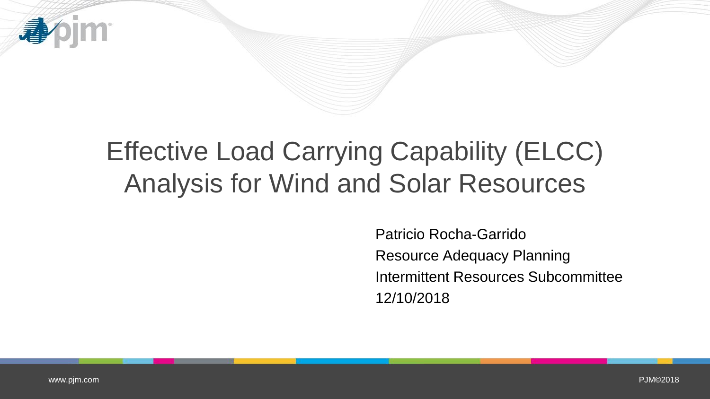

# Effective Load Carrying Capability (ELCC) Analysis for Wind and Solar Resources

Patricio Rocha-Garrido Resource Adequacy Planning Intermittent Resources Subcommittee 12/10/2018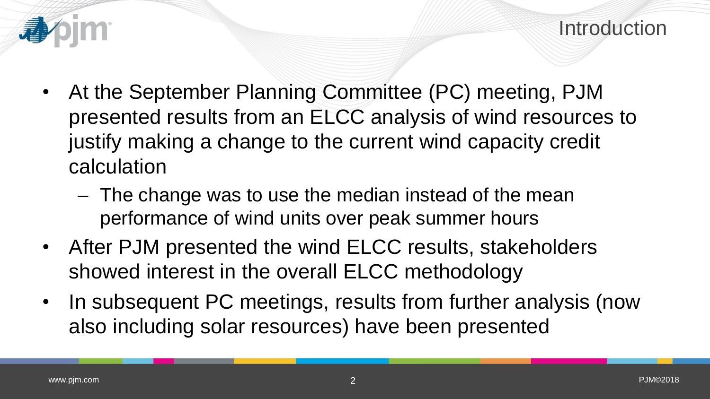- - At the September Planning Committee (PC) meeting, PJM presented results from an ELCC analysis of wind resources to justify making a change to the current wind capacity credit calculation
		- The change was to use the median instead of the mean performance of wind units over peak summer hours
	- After PJM presented the wind ELCC results, stakeholders showed interest in the overall ELCC methodology
	- In subsequent PC meetings, results from further analysis (now also including solar resources) have been presented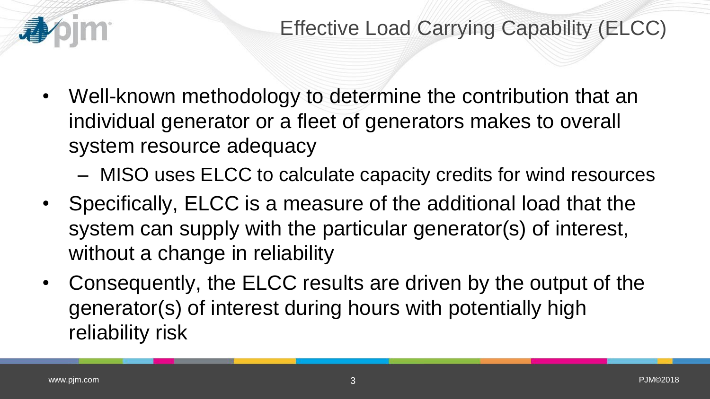

- Well-known methodology to determine the contribution that an individual generator or a fleet of generators makes to overall system resource adequacy
	- MISO uses ELCC to calculate capacity credits for wind resources
- Specifically, ELCC is a measure of the additional load that the system can supply with the particular generator(s) of interest, without a change in reliability
- Consequently, the ELCC results are driven by the output of the generator(s) of interest during hours with potentially high reliability risk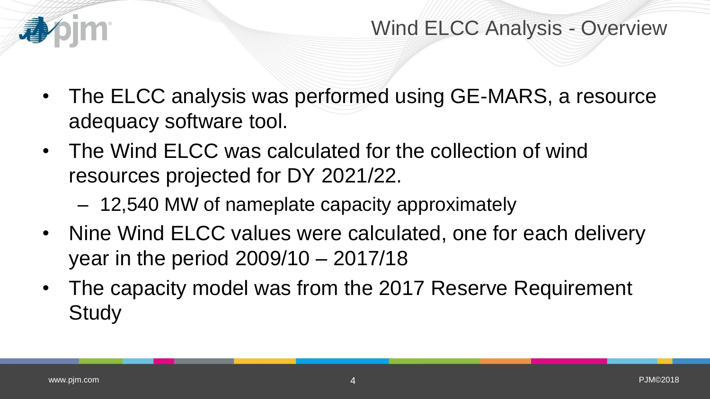

Wind ELCC Analysis - Overview

- The ELCC analysis was performed using GE-MARS, a resource adequacy software tool.
- The Wind ELCC was calculated for the collection of wind resources projected for DY 2021/22.
	- 12,540 MW of nameplate capacity approximately
- Nine Wind ELCC values were calculated, one for each delivery year in the period 2009/10 – 2017/18
- The capacity model was from the 2017 Reserve Requirement **Study**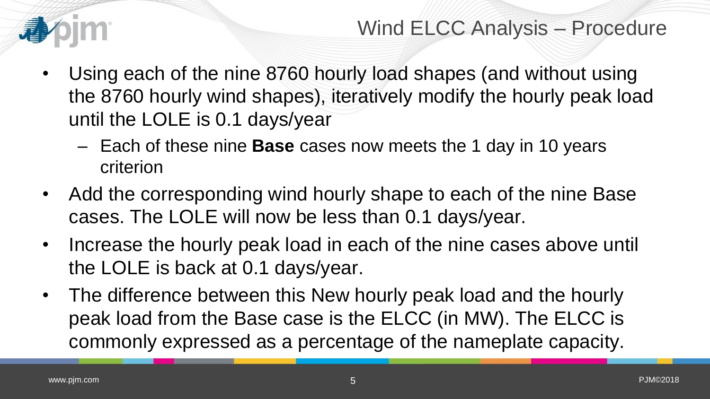

Wind ELCC Analysis – Procedure

- Using each of the nine 8760 hourly load shapes (and without using the 8760 hourly wind shapes), iteratively modify the hourly peak load until the LOLE is 0.1 days/year
	- Each of these nine **Base** cases now meets the 1 day in 10 years criterion
- Add the corresponding wind hourly shape to each of the nine Base cases. The LOLE will now be less than 0.1 days/year.
- Increase the hourly peak load in each of the nine cases above until the LOLE is back at 0.1 days/year.
- The difference between this New hourly peak load and the hourly peak load from the Base case is the ELCC (in MW). The ELCC is commonly expressed as a percentage of the nameplate capacity.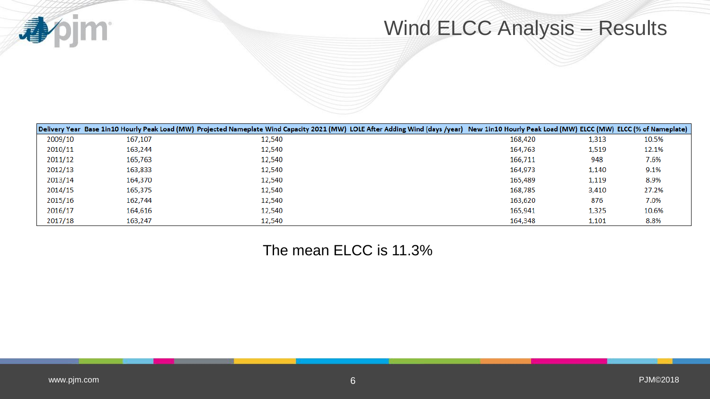**Vojm** 小

## Wind ELCC Analysis – Results

|         |         | Delivery Year Base 1in10 Hourly Peak Load (MW) Projected Nameplate Wind Capacity 2021 (MW) LOLE After Adding Wind (days /year) New 1in10 Hourly Peak Load (MW) ELCC (MW) ELCC (% of Nameplate) |         |       |       |
|---------|---------|------------------------------------------------------------------------------------------------------------------------------------------------------------------------------------------------|---------|-------|-------|
| 2009/10 | 167,107 | 12,540                                                                                                                                                                                         | 168,420 | 1,313 | 10.5% |
| 2010/11 | 163,244 | 12,540                                                                                                                                                                                         | 164.763 | 1,519 | 12.1% |
| 2011/12 | 165,763 | 12,540                                                                                                                                                                                         | 166,711 | 948   | 7.6%  |
| 2012/13 | 163,833 | 12,540                                                                                                                                                                                         | 164,973 | 1,140 | 9.1%  |
| 2013/14 | 164,370 | 12,540                                                                                                                                                                                         | 165,489 | 1,119 | 8.9%  |
| 2014/15 | 165,375 | 12,540                                                                                                                                                                                         | 168,785 | 3,410 | 27.2% |
| 2015/16 | 162,744 | 12,540                                                                                                                                                                                         | 163,620 | 876   | 7.0%  |
| 2016/17 | 164,616 | 12,540                                                                                                                                                                                         | 165,941 | 1,325 | 10.6% |
| 2017/18 | 163,247 | 12,540                                                                                                                                                                                         | 164,348 | 1,101 | 8.8%  |

#### The mean ELCC is 11.3%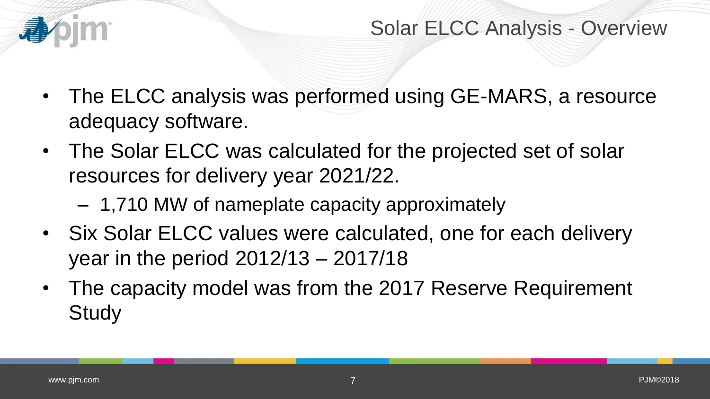

Solar ELCC Analysis - Overview

- The ELCC analysis was performed using GE-MARS, a resource adequacy software.
- The Solar ELCC was calculated for the projected set of solar resources for delivery year 2021/22.
	- 1,710 MW of nameplate capacity approximately
- Six Solar ELCC values were calculated, one for each delivery year in the period 2012/13 – 2017/18
- The capacity model was from the 2017 Reserve Requirement **Study**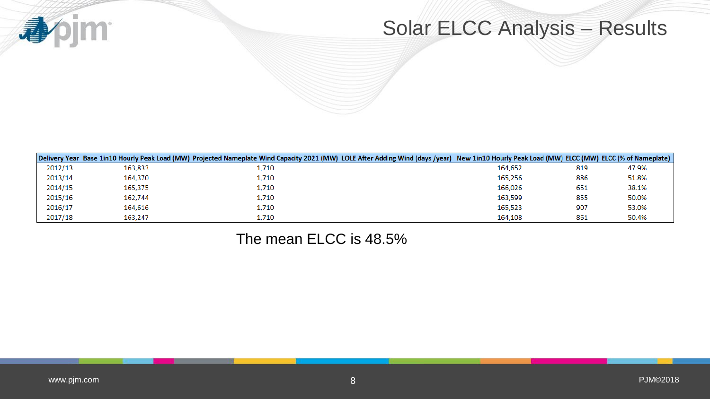

### Solar ELCC Analysis – Results

|         |         | Delivery Year Base 1in10 Hourly Peak Load (MW) Projected Nameplate Wind Capacity 2021 (MW) LOLE After Adding Wind (days /year) New 1in10 Hourly Peak Load (MW) ELCC (MW) ELCC (% of Nameplate) |         |     |       |
|---------|---------|------------------------------------------------------------------------------------------------------------------------------------------------------------------------------------------------|---------|-----|-------|
| 2012/13 | 163,833 | 1,710                                                                                                                                                                                          | 164.652 | 819 | 47.9% |
| 2013/14 | 164,370 | 1,710                                                                                                                                                                                          | 165,256 | 886 | 51.8% |
| 2014/15 | 165,375 | 1,710                                                                                                                                                                                          | 166,026 | 651 | 38.1% |
| 2015/16 | 162.744 | 1,710                                                                                                                                                                                          | 163.599 | 855 | 50.0% |
| 2016/17 | 164,616 | 1,710                                                                                                                                                                                          | 165,523 | 907 | 53.0% |
| 2017/18 | 163,247 | 1,710                                                                                                                                                                                          | 164,108 | 861 | 50.4% |

#### The mean ELCC is 48.5%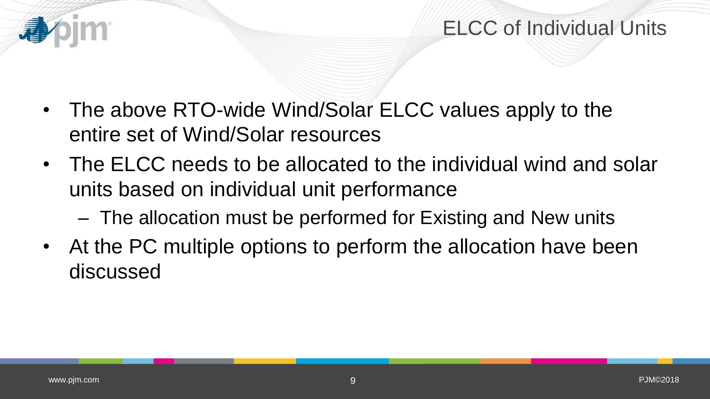

### ELCC of Individual Units

- The above RTO-wide Wind/Solar ELCC values apply to the entire set of Wind/Solar resources
- The ELCC needs to be allocated to the individual wind and solar units based on individual unit performance
	- The allocation must be performed for Existing and New units
- At the PC multiple options to perform the allocation have been discussed